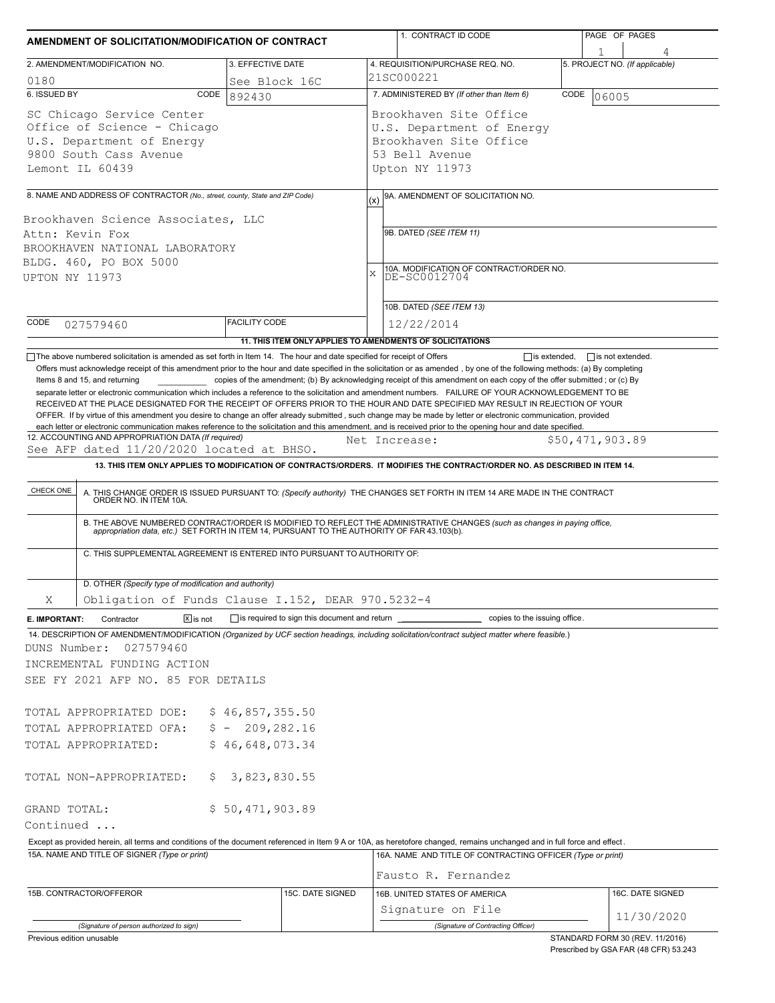|                                                                                                                                    | AMENDMENT OF SOLICITATION/MODIFICATION OF CONTRACT                                                                                                         |                                                           |             | 1. CONTRACT ID CODE                                                                                                                                                                                                                                                                                                                                                                                                                                                                                                                                                                                                                                                                                                                                     |      | PAGE OF PAGES                                                            |  |  |  |  |  |
|------------------------------------------------------------------------------------------------------------------------------------|------------------------------------------------------------------------------------------------------------------------------------------------------------|-----------------------------------------------------------|-------------|---------------------------------------------------------------------------------------------------------------------------------------------------------------------------------------------------------------------------------------------------------------------------------------------------------------------------------------------------------------------------------------------------------------------------------------------------------------------------------------------------------------------------------------------------------------------------------------------------------------------------------------------------------------------------------------------------------------------------------------------------------|------|--------------------------------------------------------------------------|--|--|--|--|--|
|                                                                                                                                    | 2. AMENDMENT/MODIFICATION NO.                                                                                                                              | 3. EFFECTIVE DATE                                         |             | 4. REQUISITION/PURCHASE REQ. NO.                                                                                                                                                                                                                                                                                                                                                                                                                                                                                                                                                                                                                                                                                                                        |      | 5. PROJECT NO. (If applicable)                                           |  |  |  |  |  |
| 0180                                                                                                                               |                                                                                                                                                            | See Block 16C                                             |             | 21SC000221                                                                                                                                                                                                                                                                                                                                                                                                                                                                                                                                                                                                                                                                                                                                              |      |                                                                          |  |  |  |  |  |
| 6. ISSUED BY                                                                                                                       | CODE                                                                                                                                                       | 892430                                                    |             | 7. ADMINISTERED BY (If other than Item 6)                                                                                                                                                                                                                                                                                                                                                                                                                                                                                                                                                                                                                                                                                                               | CODE | 06005                                                                    |  |  |  |  |  |
| SC Chicago Service Center<br>Office of Science - Chicago<br>U.S. Department of Energy<br>9800 South Cass Avenue<br>Lemont IL 60439 |                                                                                                                                                            |                                                           |             | Brookhaven Site Office<br>U.S. Department of Energy<br>Brookhaven Site Office<br>53 Bell Avenue<br>Upton NY 11973                                                                                                                                                                                                                                                                                                                                                                                                                                                                                                                                                                                                                                       |      |                                                                          |  |  |  |  |  |
|                                                                                                                                    |                                                                                                                                                            |                                                           |             |                                                                                                                                                                                                                                                                                                                                                                                                                                                                                                                                                                                                                                                                                                                                                         |      |                                                                          |  |  |  |  |  |
|                                                                                                                                    | 8. NAME AND ADDRESS OF CONTRACTOR (No., street, county, State and ZIP Code)<br>Brookhaven Science Associates, LLC                                          |                                                           | (x)         | 9A. AMENDMENT OF SOLICITATION NO.                                                                                                                                                                                                                                                                                                                                                                                                                                                                                                                                                                                                                                                                                                                       |      |                                                                          |  |  |  |  |  |
| Attn: Kevin Fox<br>BROOKHAVEN NATIONAL LABORATORY<br>BLDG. 460, PO BOX 5000<br>UPTON NY 11973                                      |                                                                                                                                                            |                                                           | $\mathbf x$ | 9B. DATED (SEE ITEM 11)<br>10A. MODIFICATION OF CONTRACT/ORDER NO.<br>DE-SC0012704                                                                                                                                                                                                                                                                                                                                                                                                                                                                                                                                                                                                                                                                      |      |                                                                          |  |  |  |  |  |
|                                                                                                                                    |                                                                                                                                                            |                                                           |             |                                                                                                                                                                                                                                                                                                                                                                                                                                                                                                                                                                                                                                                                                                                                                         |      |                                                                          |  |  |  |  |  |
| CODE                                                                                                                               |                                                                                                                                                            | <b>FACILITY CODE</b>                                      |             | 10B. DATED (SEE ITEM 13)                                                                                                                                                                                                                                                                                                                                                                                                                                                                                                                                                                                                                                                                                                                                |      |                                                                          |  |  |  |  |  |
|                                                                                                                                    | 027579460                                                                                                                                                  | 11. THIS ITEM ONLY APPLIES TO AMENDMENTS OF SOLICITATIONS |             | 12/22/2014                                                                                                                                                                                                                                                                                                                                                                                                                                                                                                                                                                                                                                                                                                                                              |      |                                                                          |  |  |  |  |  |
|                                                                                                                                    | Items 8 and 15, and returning                                                                                                                              |                                                           |             | copies of the amendment; (b) By acknowledging receipt of this amendment on each copy of the offer submitted; or (c) By<br>separate letter or electronic communication which includes a reference to the solicitation and amendment numbers. FAILURE OF YOUR ACKNOWLEDGEMENT TO BE<br>RECEIVED AT THE PLACE DESIGNATED FOR THE RECEIPT OF OFFERS PRIOR TO THE HOUR AND DATE SPECIFIED MAY RESULT IN REJECTION OF YOUR<br>OFFER. If by virtue of this amendment you desire to change an offer already submitted, such change may be made by letter or electronic communication, provided<br>each letter or electronic communication makes reference to the solicitation and this amendment, and is received prior to the opening hour and date specified. |      |                                                                          |  |  |  |  |  |
|                                                                                                                                    | 12. ACCOUNTING AND APPROPRIATION DATA (If required)                                                                                                        |                                                           |             | Net Increase:                                                                                                                                                                                                                                                                                                                                                                                                                                                                                                                                                                                                                                                                                                                                           |      | \$50,471,903.89                                                          |  |  |  |  |  |
|                                                                                                                                    | See AFP dated 11/20/2020 located at BHSO.                                                                                                                  |                                                           |             |                                                                                                                                                                                                                                                                                                                                                                                                                                                                                                                                                                                                                                                                                                                                                         |      |                                                                          |  |  |  |  |  |
|                                                                                                                                    |                                                                                                                                                            |                                                           |             | 13. THIS ITEM ONLY APPLIES TO MODIFICATION OF CONTRACTS/ORDERS. IT MODIFIES THE CONTRACT/ORDER NO. AS DESCRIBED IN ITEM 14.                                                                                                                                                                                                                                                                                                                                                                                                                                                                                                                                                                                                                             |      |                                                                          |  |  |  |  |  |
| CHECK ONE                                                                                                                          | C. THIS SUPPLEMENTAL AGREEMENT IS ENTERED INTO PURSUANT TO AUTHORITY OF:                                                                                   |                                                           |             | A. THIS CHANGE ORDER IS ISSUED PURSUANT TO: (Specify authority) THE CHANGES SET FORTH IN ITEM 14 ARE MADE IN THE CONTRACT ORDER NO. IN ITEM 10A.<br>B. THE ABOVE NUMBERED CONTRACT/ORDER IS MODIFIED TO REFLECT THE ADMINISTRATIVE CHANGES (such as changes in paying office,<br>appropriation data, etc.) SET FORTH IN ITEM 14, PURSUANT TO THE AUTHORITY OF FAR 43.103(b).                                                                                                                                                                                                                                                                                                                                                                            |      |                                                                          |  |  |  |  |  |
|                                                                                                                                    |                                                                                                                                                            |                                                           |             |                                                                                                                                                                                                                                                                                                                                                                                                                                                                                                                                                                                                                                                                                                                                                         |      |                                                                          |  |  |  |  |  |
|                                                                                                                                    | D. OTHER (Specify type of modification and authority)                                                                                                      |                                                           |             |                                                                                                                                                                                                                                                                                                                                                                                                                                                                                                                                                                                                                                                                                                                                                         |      |                                                                          |  |  |  |  |  |
| Χ                                                                                                                                  | Obligation of Funds Clause I.152, DEAR 970.5232-4                                                                                                          |                                                           |             |                                                                                                                                                                                                                                                                                                                                                                                                                                                                                                                                                                                                                                                                                                                                                         |      |                                                                          |  |  |  |  |  |
| E. IMPORTANT:                                                                                                                      | Contractor<br>$\sqrt{X}$ is not                                                                                                                            | is required to sign this document and return __           |             | copies to the issuing office.                                                                                                                                                                                                                                                                                                                                                                                                                                                                                                                                                                                                                                                                                                                           |      |                                                                          |  |  |  |  |  |
| DUNS Number:                                                                                                                       | 027579460<br>INCREMENTAL FUNDING ACTION<br>SEE FY 2021 AFP NO. 85 FOR DETAILS<br>TOTAL APPROPRIATED DOE:<br>TOTAL APPROPRIATED OFA:<br>TOTAL APPROPRIATED: | \$46,857,355.50<br>$$ - 209, 282.16$<br>\$46,648,073.34   |             | 14. DESCRIPTION OF AMENDMENT/MODIFICATION (Organized by UCF section headings, including solicitation/contract subject matter where feasible.)                                                                                                                                                                                                                                                                                                                                                                                                                                                                                                                                                                                                           |      |                                                                          |  |  |  |  |  |
|                                                                                                                                    | TOTAL NON-APPROPRIATED:<br>Ş.                                                                                                                              | 3,823,830.55                                              |             |                                                                                                                                                                                                                                                                                                                                                                                                                                                                                                                                                                                                                                                                                                                                                         |      |                                                                          |  |  |  |  |  |
| GRAND TOTAL:<br>Continued                                                                                                          |                                                                                                                                                            | \$50,471,903.89                                           |             | Except as provided herein, all terms and conditions of the document referenced in Item 9 A or 10A, as heretofore changed, remains unchanged and in full force and effect.                                                                                                                                                                                                                                                                                                                                                                                                                                                                                                                                                                               |      |                                                                          |  |  |  |  |  |
|                                                                                                                                    | 15A. NAME AND TITLE OF SIGNER (Type or print)                                                                                                              |                                                           |             | 16A. NAME AND TITLE OF CONTRACTING OFFICER (Type or print)                                                                                                                                                                                                                                                                                                                                                                                                                                                                                                                                                                                                                                                                                              |      |                                                                          |  |  |  |  |  |
|                                                                                                                                    |                                                                                                                                                            |                                                           |             | Fausto R. Fernandez                                                                                                                                                                                                                                                                                                                                                                                                                                                                                                                                                                                                                                                                                                                                     |      |                                                                          |  |  |  |  |  |
|                                                                                                                                    | 15B. CONTRACTOR/OFFEROR                                                                                                                                    | 15C. DATE SIGNED                                          |             | 16B. UNITED STATES OF AMERICA                                                                                                                                                                                                                                                                                                                                                                                                                                                                                                                                                                                                                                                                                                                           |      | 16C. DATE SIGNED                                                         |  |  |  |  |  |
|                                                                                                                                    |                                                                                                                                                            |                                                           |             | Signature on File                                                                                                                                                                                                                                                                                                                                                                                                                                                                                                                                                                                                                                                                                                                                       |      |                                                                          |  |  |  |  |  |
|                                                                                                                                    | (Signature of person authorized to sign)                                                                                                                   |                                                           |             | (Signature of Contracting Officer)                                                                                                                                                                                                                                                                                                                                                                                                                                                                                                                                                                                                                                                                                                                      |      | 11/30/2020                                                               |  |  |  |  |  |
| Previous edition unusable                                                                                                          |                                                                                                                                                            |                                                           |             |                                                                                                                                                                                                                                                                                                                                                                                                                                                                                                                                                                                                                                                                                                                                                         |      | STANDARD FORM 30 (REV. 11/2016)<br>Prescribed by GSA FAR (48 CFR) 53 243 |  |  |  |  |  |

Prescribed by GSA FAR (48 CFR) 53.243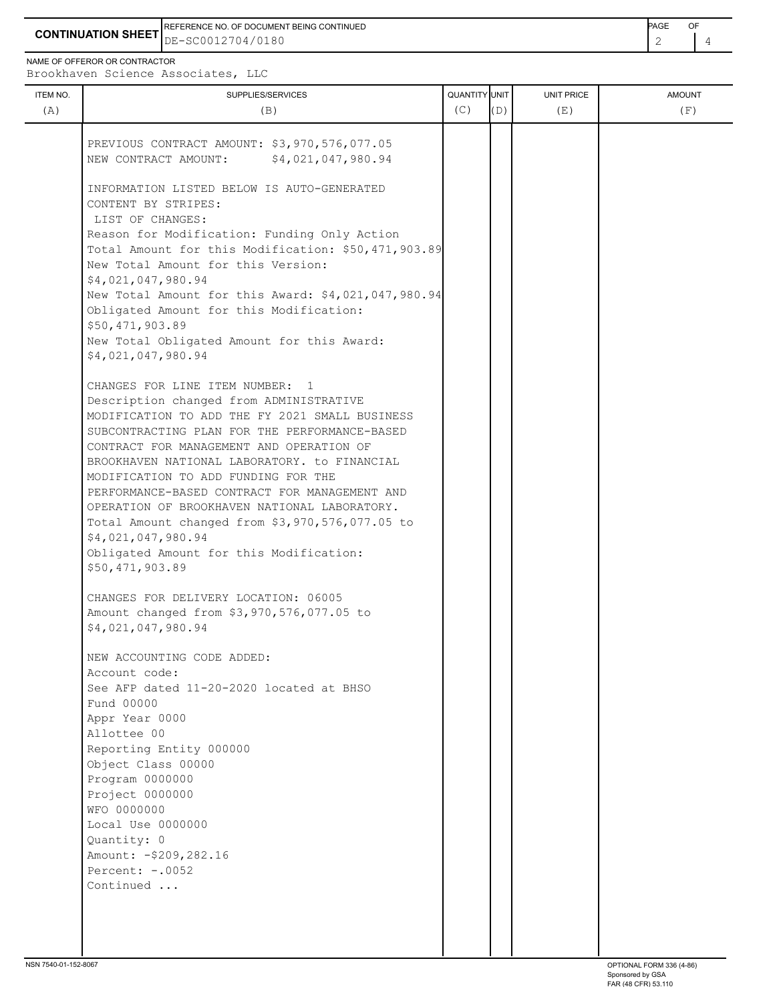**CONTINUATION SHEET** DE-SC0012704/0180 REFERENCE NO. OF DOCUMENT BEING CONTINUED **A CONTINUED PAGE OF PAGE OF PAGE OF PAGE** 

NAME OF OFFEROR OR CONTRACTOR

ITEM NO. ┃ SUPPLIES/SERVICES UNIT PRICE AMOUNT Brookhaven Science Associates, LLC (A)  $(B)$  (B)  $(C)$   $(D)$  (E)  $(E)$  (F) PREVIOUS CONTRACT AMOUNT: \$3,970,576,077.05 NEW CONTRACT AMOUNT: \$4,021,047,980.94 INFORMATION LISTED BELOW IS AUTO-GENERATED CONTENT BY STRIPES: LIST OF CHANGES: Reason for Modification: Funding Only Action Total Amount for this Modification: \$50,471,903.89 New Total Amount for this Version: \$4,021,047,980.94 New Total Amount for this Award: \$4,021,047,980.94 Obligated Amount for this Modification: \$50,471,903.89 New Total Obligated Amount for this Award: \$4,021,047,980.94 CHANGES FOR LINE ITEM NUMBER: 1 Description changed from ADMINISTRATIVE MODIFICATION TO ADD THE FY 2021 SMALL BUSINESS SUBCONTRACTING PLAN FOR THE PERFORMANCE-BASED CONTRACT FOR MANAGEMENT AND OPERATION OF BROOKHAVEN NATIONAL LABORATORY. to FINANCIAL MODIFICATION TO ADD FUNDING FOR THE PERFORMANCE-BASED CONTRACT FOR MANAGEMENT AND OPERATION OF BROOKHAVEN NATIONAL LABORATORY. Total Amount changed from \$3,970,576,077.05 to \$4,021,047,980.94 Obligated Amount for this Modification:

 CHANGES FOR DELIVERY LOCATION: 06005 Amount changed from \$3,970,576,077.05 to \$4,021,047,980.94

\$50,471,903.89

 NEW ACCOUNTING CODE ADDED: Account code: See AFP dated 11-20-2020 located at BHSO Fund 00000 Appr Year 0000 Allottee 00 Reporting Entity 000000 Object Class 00000 Program 0000000 Project 0000000 WFO 0000000 Local Use 0000000 Quantity: 0 Amount: -\$209,282.16 Percent: -.0052 Continued ...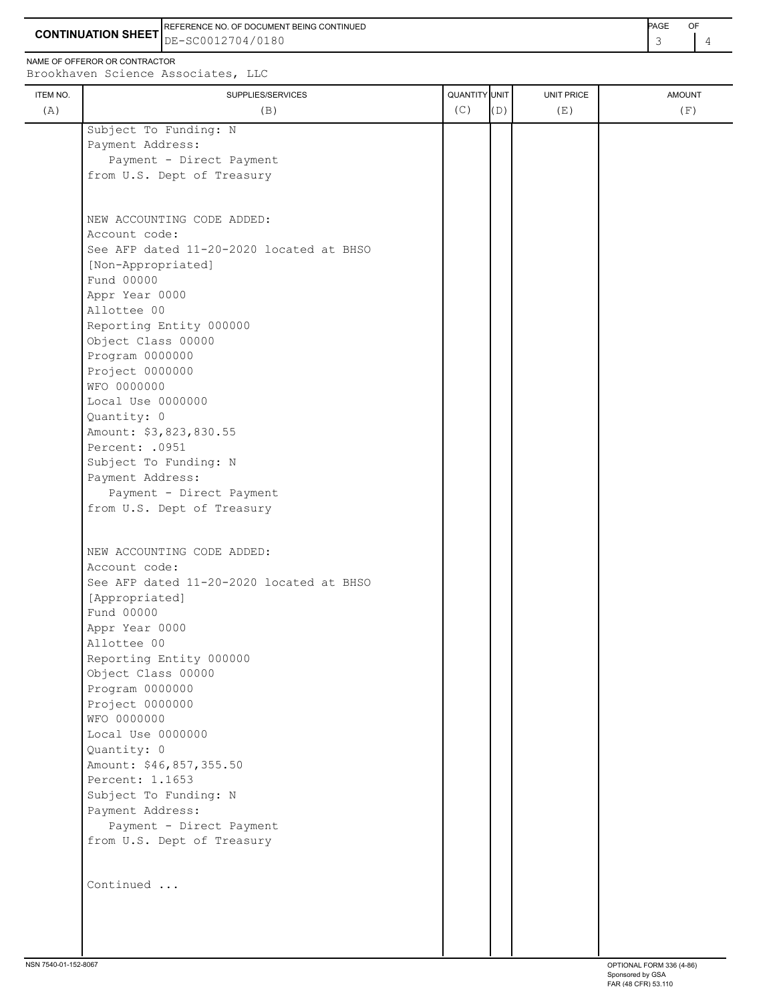**CONTINUATION SHEET** DE-SC0012704/0180 REFERENCE NO. OF DOCUMENT BEING CONTINUED **EXAMPLE 2008** PAGE OF

NAME OF OFFEROR OR CONTRACTOR

Brookhaven Science Associates, LLC

| ITEM NO. | SUPPLIES/SERVICES                        | <b>QUANTITY</b> UNIT |     | UNIT PRICE | <b>AMOUNT</b> |
|----------|------------------------------------------|----------------------|-----|------------|---------------|
| (A)      | (B)                                      | (C)                  | (D) | (E)        | (F)           |
|          | Subject To Funding: N                    |                      |     |            |               |
|          | Payment Address:                         |                      |     |            |               |
|          | Payment - Direct Payment                 |                      |     |            |               |
|          | from U.S. Dept of Treasury               |                      |     |            |               |
|          |                                          |                      |     |            |               |
|          | NEW ACCOUNTING CODE ADDED:               |                      |     |            |               |
|          | Account code:                            |                      |     |            |               |
|          | See AFP dated 11-20-2020 located at BHSO |                      |     |            |               |
|          | [Non-Appropriated]                       |                      |     |            |               |
|          | Fund 00000                               |                      |     |            |               |
|          | Appr Year 0000                           |                      |     |            |               |
|          | Allottee 00                              |                      |     |            |               |
|          | Reporting Entity 000000                  |                      |     |            |               |
|          | Object Class 00000                       |                      |     |            |               |
|          | Program 0000000                          |                      |     |            |               |
|          | Project 0000000                          |                      |     |            |               |
|          | WFO 0000000                              |                      |     |            |               |
|          | Local Use 0000000                        |                      |     |            |               |
|          | Quantity: 0<br>Amount: \$3,823,830.55    |                      |     |            |               |
|          | Percent: .0951                           |                      |     |            |               |
|          | Subject To Funding: N                    |                      |     |            |               |
|          | Payment Address:                         |                      |     |            |               |
|          | Payment - Direct Payment                 |                      |     |            |               |
|          | from U.S. Dept of Treasury               |                      |     |            |               |
|          |                                          |                      |     |            |               |
|          | NEW ACCOUNTING CODE ADDED:               |                      |     |            |               |
|          | Account code:                            |                      |     |            |               |
|          | See AFP dated 11-20-2020 located at BHSO |                      |     |            |               |
|          | [Appropriated]                           |                      |     |            |               |
|          | Fund 00000                               |                      |     |            |               |
|          | Appr Year 0000                           |                      |     |            |               |
|          | Allottee 00                              |                      |     |            |               |
|          | Reporting Entity 000000                  |                      |     |            |               |
|          | Object Class 00000                       |                      |     |            |               |
|          | Program 0000000                          |                      |     |            |               |
|          | Project 0000000<br>WFO 0000000           |                      |     |            |               |
|          | Local Use 0000000                        |                      |     |            |               |
|          | Quantity: 0                              |                      |     |            |               |
|          | Amount: \$46,857,355.50                  |                      |     |            |               |
|          | Percent: 1.1653                          |                      |     |            |               |
|          | Subject To Funding: N                    |                      |     |            |               |
|          | Payment Address:                         |                      |     |            |               |
|          | Payment - Direct Payment                 |                      |     |            |               |
|          | from U.S. Dept of Treasury               |                      |     |            |               |
|          |                                          |                      |     |            |               |
|          | Continued                                |                      |     |            |               |
|          |                                          |                      |     |            |               |
|          |                                          |                      |     |            |               |
|          |                                          |                      |     |            |               |
|          |                                          |                      |     |            |               |